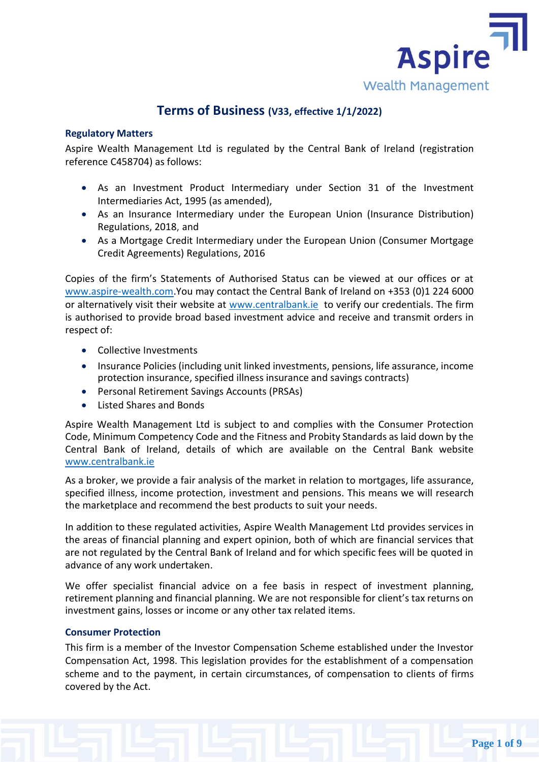

# **Terms of Business (V33, effective 1/1/2022)**

# **Regulatory Matters**

Aspire Wealth Management Ltd is regulated by the Central Bank of Ireland (registration reference C458704) as follows:

- As an Investment Product Intermediary under Section 31 of the Investment Intermediaries Act, 1995 (as amended),
- As an Insurance Intermediary under the European Union (Insurance Distribution) Regulations, 2018, and
- As a Mortgage Credit Intermediary under the European Union (Consumer Mortgage Credit Agreements) Regulations, 2016

Copies of the firm's Statements of Authorised Status can be viewed at our offices or at [www.aspire-wealth.com.](https://www.aspire-wealth.com/)You may contact the Central Bank of Ireland on +353 (0)1 224 6000 or alternatively visit their website at [www.centralbank.ie](https://aspirewealth.sharepoint.com/Shared%20Documents/Compliance/www.centralbank.ie) to verify our credentials. The firm is authorised to provide broad based investment advice and receive and transmit orders in respect of:

- Collective Investments
- Insurance Policies (including unit linked investments, pensions, life assurance, income protection insurance, specified illness insurance and savings contracts)
- Personal Retirement Savings Accounts (PRSAs)
- Listed Shares and Bonds

Aspire Wealth Management Ltd is subject to and complies with the Consumer Protection Code, Minimum Competency Code and the Fitness and Probity Standards as laid down by the Central Bank of Ireland, details of which are available on the Central Bank website [www.centralbank.ie](https://aspirewealth.sharepoint.com/Shared%20Documents/Compliance/www.centralbank.ie) 

As a broker, we provide a fair analysis of the market in relation to mortgages, life assurance, specified illness, income protection, investment and pensions. This means we will research the marketplace and recommend the best products to suit your needs.

In addition to these regulated activities, Aspire Wealth Management Ltd provides services in the areas of financial planning and expert opinion, both of which are financial services that are not regulated by the Central Bank of Ireland and for which specific fees will be quoted in advance of any work undertaken.

We offer specialist financial advice on a fee basis in respect of investment planning, retirement planning and financial planning. We are not responsible for client's tax returns on investment gains, losses or income or any other tax related items.

# **Consumer Protection**

This firm is a member of the Investor Compensation Scheme established under the Investor Compensation Act, 1998. This legislation provides for the establishment of a compensation scheme and to the payment, in certain circumstances, of compensation to clients of firms covered by the Act.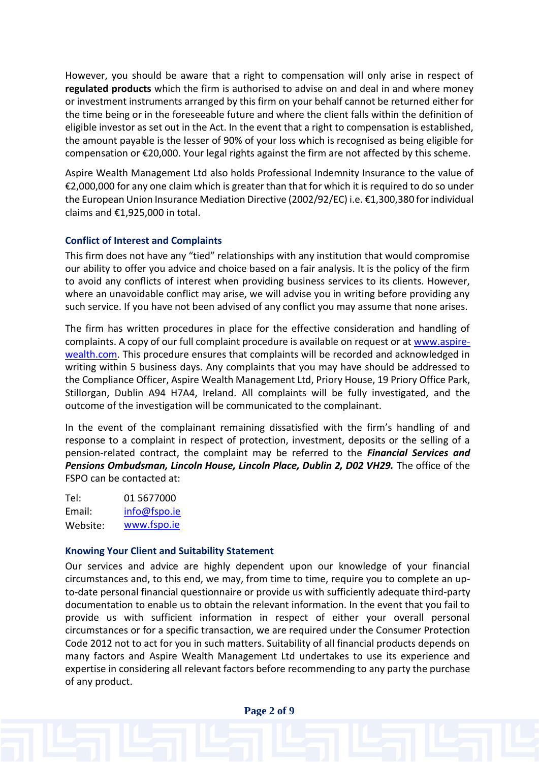However, you should be aware that a right to compensation will only arise in respect of **regulated products** which the firm is authorised to advise on and deal in and where money or investment instruments arranged by this firm on your behalf cannot be returned either for the time being or in the foreseeable future and where the client falls within the definition of eligible investor as set out in the Act. In the event that a right to compensation is established, the amount payable is the lesser of 90% of your loss which is recognised as being eligible for compensation or €20,000. Your legal rights against the firm are not affected by this scheme.

Aspire Wealth Management Ltd also holds Professional Indemnity Insurance to the value of €2,000,000 for any one claim which is greater than that for which it is required to do so under the European Union Insurance Mediation Directive (2002/92/EC) i.e. €1,300,380 for individual claims and €1,925,000 in total.

# **Conflict of Interest and Complaints**

This firm does not have any "tied" relationships with any institution that would compromise our ability to offer you advice and choice based on a fair analysis. It is the policy of the firm to avoid any conflicts of interest when providing business services to its clients. However, where an unavoidable conflict may arise, we will advise you in writing before providing any such service. If you have not been advised of any conflict you may assume that none arises.

The firm has written procedures in place for the effective consideration and handling of complaints. A copy of our full complaint procedure is available on request or at [www.aspire](http://www.aspire-wealth.com/)wealth.com. This procedure ensures that complaints will be recorded and acknowledged in writing within 5 business days. Any complaints that you may have should be addressed to the Compliance Officer, Aspire Wealth Management Ltd, Priory House, 19 Priory Office Park, Stillorgan, Dublin A94 H7A4, Ireland. All complaints will be fully investigated, and the outcome of the investigation will be communicated to the complainant.

In the event of the complainant remaining dissatisfied with the firm's handling of and response to a complaint in respect of protection, investment, deposits or the selling of a pension-related contract, the complaint may be referred to the *Financial Services and Pensions Ombudsman, Lincoln House, Lincoln Place, Dublin 2, D02 VH29.* The office of the FSPO can be contacted at:

Tel: 01 5677000 Email: info@fspo.ie Website: www.fspo.ie

# **Knowing Your Client and Suitability Statement**

Our services and advice are highly dependent upon our knowledge of your financial circumstances and, to this end, we may, from time to time, require you to complete an upto-date personal financial questionnaire or provide us with sufficiently adequate third-party documentation to enable us to obtain the relevant information. In the event that you fail to provide us with sufficient information in respect of either your overall personal circumstances or for a specific transaction, we are required under the Consumer Protection Code 2012 not to act for you in such matters. Suitability of all financial products depends on many factors and Aspire Wealth Management Ltd undertakes to use its experience and expertise in considering all relevant factors before recommending to any party the purchase of any product.

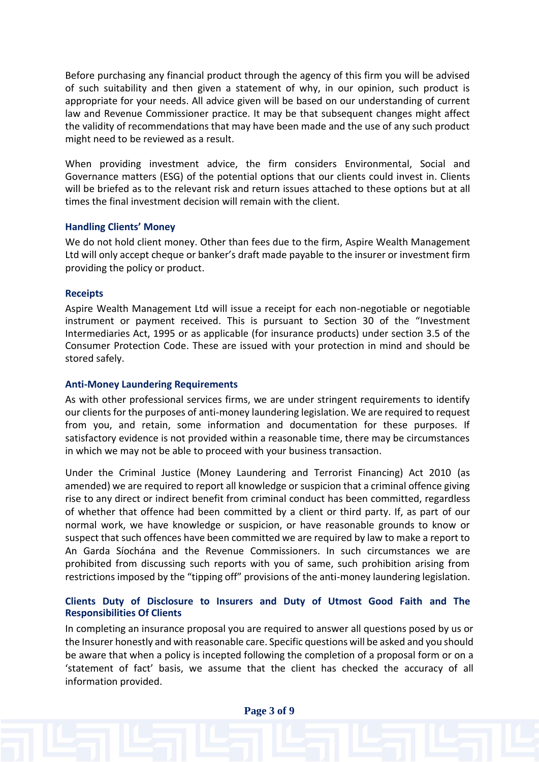Before purchasing any financial product through the agency of this firm you will be advised of such suitability and then given a statement of why, in our opinion, such product is appropriate for your needs. All advice given will be based on our understanding of current law and Revenue Commissioner practice. It may be that subsequent changes might affect the validity of recommendations that may have been made and the use of any such product might need to be reviewed as a result.

When providing investment advice, the firm considers Environmental, Social and Governance matters (ESG) of the potential options that our clients could invest in. Clients will be briefed as to the relevant risk and return issues attached to these options but at all times the final investment decision will remain with the client.

#### **Handling Clients' Money**

We do not hold client money. Other than fees due to the firm, Aspire Wealth Management Ltd will only accept cheque or banker's draft made payable to the insurer or investment firm providing the policy or product.

#### **Receipts**

Aspire Wealth Management Ltd will issue a receipt for each non-negotiable or negotiable instrument or payment received. This is pursuant to Section 30 of the "Investment Intermediaries Act, 1995 or as applicable (for insurance products) under section 3.5 of the Consumer Protection Code. These are issued with your protection in mind and should be stored safely.

### **Anti-Money Laundering Requirements**

As with other professional services firms, we are under stringent requirements to identify our clients for the purposes of anti-money laundering legislation. We are required to request from you, and retain, some information and documentation for these purposes. If satisfactory evidence is not provided within a reasonable time, there may be circumstances in which we may not be able to proceed with your business transaction.

Under the Criminal Justice (Money Laundering and Terrorist Financing) Act 2010 (as amended) we are required to report all knowledge or suspicion that a criminal offence giving rise to any direct or indirect benefit from criminal conduct has been committed, regardless of whether that offence had been committed by a client or third party. If, as part of our normal work, we have knowledge or suspicion, or have reasonable grounds to know or suspect that such offences have been committed we are required by law to make a report to An Garda Síochána and the Revenue Commissioners. In such circumstances we are prohibited from discussing such reports with you of same, such prohibition arising from restrictions imposed by the "tipping off" provisions of the anti-money laundering legislation.

# **Clients Duty of Disclosure to Insurers and Duty of Utmost Good Faith and The Responsibilities Of Clients**

In completing an insurance proposal you are required to answer all questions posed by us or the Insurer honestly and with reasonable care. Specific questions will be asked and you should be aware that when a policy is incepted following the completion of a proposal form or on a 'statement of fact' basis, we assume that the client has checked the accuracy of all information provided.

**Page 3 of 9**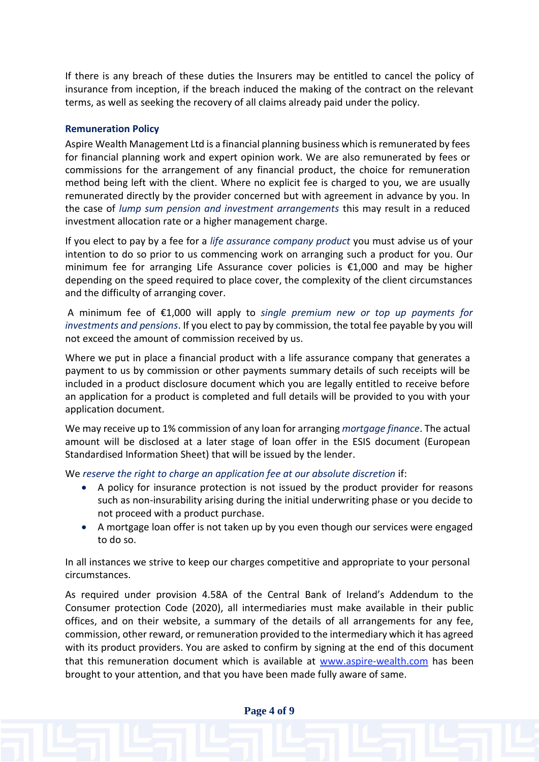If there is any breach of these duties the Insurers may be entitled to cancel the policy of insurance from inception, if the breach induced the making of the contract on the relevant terms, as well as seeking the recovery of all claims already paid under the policy.

# **Remuneration Policy**

Aspire Wealth Management Ltd is a financial planning business which is remunerated by fees for financial planning work and expert opinion work. We are also remunerated by fees or commissions for the arrangement of any financial product, the choice for remuneration method being left with the client. Where no explicit fee is charged to you, we are usually remunerated directly by the provider concerned but with agreement in advance by you. In the case of *lump sum pension and investment arrangements* this may result in a reduced investment allocation rate or a higher management charge.

If you elect to pay by a fee for a *life assurance company product* you must advise us of your intention to do so prior to us commencing work on arranging such a product for you. Our minimum fee for arranging Life Assurance cover policies is €1,000 and may be higher depending on the speed required to place cover, the complexity of the client circumstances and the difficulty of arranging cover.

A minimum fee of €1,000 will apply to *single premium new or top up payments for investments and pensions*. If you elect to pay by commission, the total fee payable by you will not exceed the amount of commission received by us.

Where we put in place a financial product with a life assurance company that generates a payment to us by commission or other payments summary details of such receipts will be included in a product disclosure document which you are legally entitled to receive before an application for a product is completed and full details will be provided to you with your application document.

We may receive up to 1% commission of any loan for arranging *mortgage finance*. The actual amount will be disclosed at a later stage of loan offer in the ESIS document (European Standardised Information Sheet) that will be issued by the lender.

We *reserve the right to charge an application fee at our absolute discretion* if:

- A policy for insurance protection is not issued by the product provider for reasons such as non-insurability arising during the initial underwriting phase or you decide to not proceed with a product purchase.
- A mortgage loan offer is not taken up by you even though our services were engaged to do so.

In all instances we strive to keep our charges competitive and appropriate to your personal circumstances.

As required under provision 4.58A of the Central Bank of Ireland's Addendum to the Consumer protection Code (2020), all intermediaries must make available in their public offices, and on their website, a summary of the details of all arrangements for any fee, commission, other reward, or remuneration provided to the intermediary which it has agreed with its product providers. You are asked to confirm by signing at the end of this document that this remuneration document which is available at [www.aspire-wealth.com](http://www.aspire-wealth.com/) has been brought to your attention, and that you have been made fully aware of same.

**Page 4 of 9**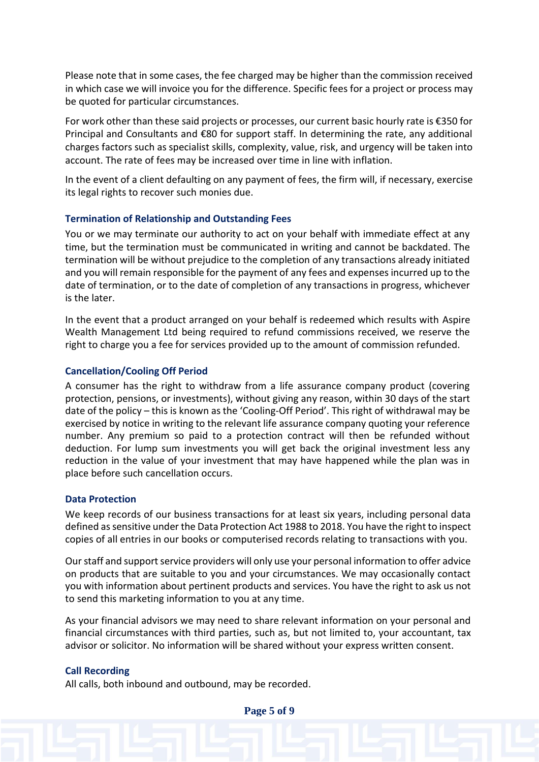Please note that in some cases, the fee charged may be higher than the commission received in which case we will invoice you for the difference. Specific fees for a project or process may be quoted for particular circumstances.

For work other than these said projects or processes, our current basic hourly rate is €350 for Principal and Consultants and €80 for support staff. In determining the rate, any additional charges factors such as specialist skills, complexity, value, risk, and urgency will be taken into account. The rate of fees may be increased over time in line with inflation.

In the event of a client defaulting on any payment of fees, the firm will, if necessary, exercise its legal rights to recover such monies due.

#### **Termination of Relationship and Outstanding Fees**

You or we may terminate our authority to act on your behalf with immediate effect at any time, but the termination must be communicated in writing and cannot be backdated. The termination will be without prejudice to the completion of any transactions already initiated and you will remain responsible for the payment of any fees and expenses incurred up to the date of termination, or to the date of completion of any transactions in progress, whichever is the later.

In the event that a product arranged on your behalf is redeemed which results with Aspire Wealth Management Ltd being required to refund commissions received, we reserve the right to charge you a fee for services provided up to the amount of commission refunded.

#### **Cancellation/Cooling Off Period**

A consumer has the right to withdraw from a life assurance company product (covering protection, pensions, or investments), without giving any reason, within 30 days of the start date of the policy – this is known as the 'Cooling-Off Period'. This right of withdrawal may be exercised by notice in writing to the relevant life assurance company quoting your reference number. Any premium so paid to a protection contract will then be refunded without deduction. For lump sum investments you will get back the original investment less any reduction in the value of your investment that may have happened while the plan was in place before such cancellation occurs.

#### **Data Protection**

We keep records of our business transactions for at least six years, including personal data defined as sensitive under the Data Protection Act 1988 to 2018. You have the right to inspect copies of all entries in our books or computerised records relating to transactions with you.

Our staff and support service providers will only use your personal information to offer advice on products that are suitable to you and your circumstances. We may occasionally contact you with information about pertinent products and services. You have the right to ask us not to send this marketing information to you at any time.

As your financial advisors we may need to share relevant information on your personal and financial circumstances with third parties, such as, but not limited to, your accountant, tax advisor or solicitor. No information will be shared without your express written consent.

#### **Call Recording**

All calls, both inbound and outbound, may be recorded.

**Page 5 of 9**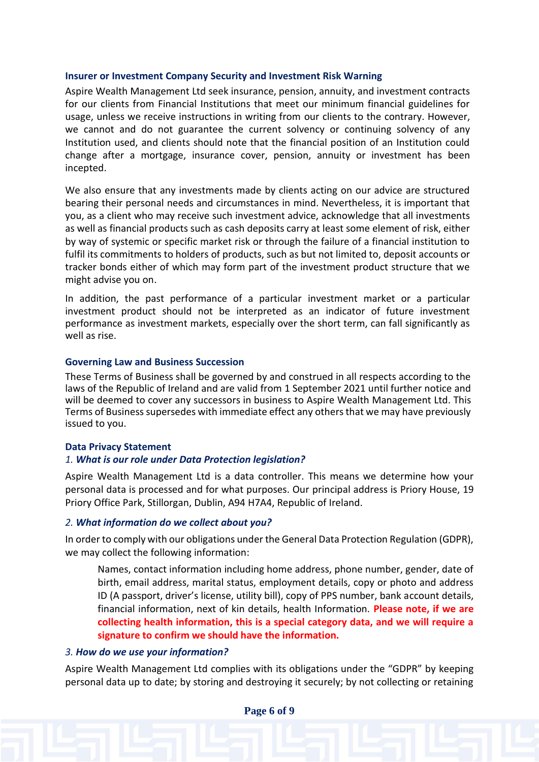#### **Insurer or Investment Company Security and Investment Risk Warning**

Aspire Wealth Management Ltd seek insurance, pension, annuity, and investment contracts for our clients from Financial Institutions that meet our minimum financial guidelines for usage, unless we receive instructions in writing from our clients to the contrary. However, we cannot and do not guarantee the current solvency or continuing solvency of any Institution used, and clients should note that the financial position of an Institution could change after a mortgage, insurance cover, pension, annuity or investment has been incepted.

We also ensure that any investments made by clients acting on our advice are structured bearing their personal needs and circumstances in mind. Nevertheless, it is important that you, as a client who may receive such investment advice, acknowledge that all investments as well as financial products such as cash deposits carry at least some element of risk, either by way of systemic or specific market risk or through the failure of a financial institution to fulfil its commitments to holders of products, such as but not limited to, deposit accounts or tracker bonds either of which may form part of the investment product structure that we might advise you on.

In addition, the past performance of a particular investment market or a particular investment product should not be interpreted as an indicator of future investment performance as investment markets, especially over the short term, can fall significantly as well as rise.

#### **Governing Law and Business Succession**

These Terms of Business shall be governed by and construed in all respects according to the laws of the Republic of Ireland and are valid from 1 September 2021 until further notice and will be deemed to cover any successors in business to Aspire Wealth Management Ltd. This Terms of Business supersedes with immediate effect any others that we may have previously issued to you.

#### **Data Privacy Statement**

#### *1. What is our role under Data Protection legislation?*

Aspire Wealth Management Ltd is a data controller. This means we determine how your personal data is processed and for what purposes. Our principal address is Priory House, 19 Priory Office Park, Stillorgan, Dublin, A94 H7A4, Republic of Ireland.

#### *2. What information do we collect about you?*

In order to comply with our obligations under the General Data Protection Regulation (GDPR), we may collect the following information:

Names, contact information including home address, phone number, gender, date of birth, email address, marital status, employment details, copy or photo and address ID (A passport, driver's license, utility bill), copy of PPS number, bank account details, financial information, next of kin details, health Information. **Please note, if we are collecting health information, this is a special category data, and we will require a signature to confirm we should have the information.**

#### *3. How do we use your information?*

Aspire Wealth Management Ltd complies with its obligations under the "GDPR" by keeping personal data up to date; by storing and destroying it securely; by not collecting or retaining

**Page 6 of 9**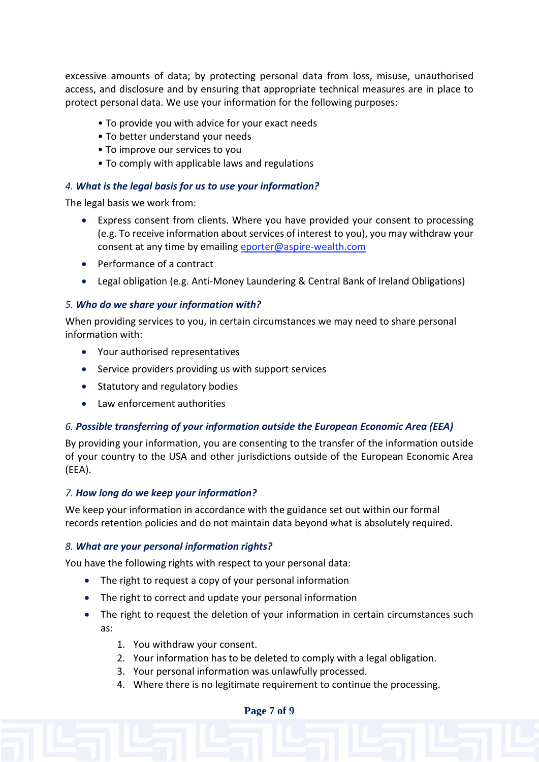excessive amounts of data; by protecting personal data from loss, misuse, unauthorised access, and disclosure and by ensuring that appropriate technical measures are in place to protect personal data. We use your information for the following purposes:

- To provide you with advice for your exact needs
- To better understand your needs
- To improve our services to you
- To comply with applicable laws and regulations

# *4. What is the legal basis for us to use your information?*

The legal basis we work from:

- Express consent from clients. Where you have provided your consent to processing (e.g. To receive information about services of interest to you), you may withdraw your consent at any time by emailing [eporter@aspire-wealth.com](mailto:eporter@aspire-wealth.com)
- Performance of a contract
- Legal obligation (e.g. Anti-Money Laundering & Central Bank of Ireland Obligations)

# *5. Who do we share your information with?*

When providing services to you, in certain circumstances we may need to share personal information with:

- Your authorised representatives
- Service providers providing us with support services
- Statutory and regulatory bodies
- Law enforcement authorities

# *6. Possible transferring of your information outside the European Economic Area (EEA)*

By providing your information, you are consenting to the transfer of the information outside of your country to the USA and other jurisdictions outside of the European Economic Area (EEA).

# *7. How long do we keep your information?*

We keep your information in accordance with the guidance set out within our formal records retention policies and do not maintain data beyond what is absolutely required.

# *8. What are your personal information rights?*

You have the following rights with respect to your personal data:

- The right to request a copy of your personal information
- The right to correct and update your personal information
- The right to request the deletion of your information in certain circumstances such as:
	- 1. You withdraw your consent.
	- 2. Your information has to be deleted to comply with a legal obligation.
	- 3. Your personal information was unlawfully processed.
	- 4. Where there is no legitimate requirement to continue the processing.

#### **Page 7 of 9**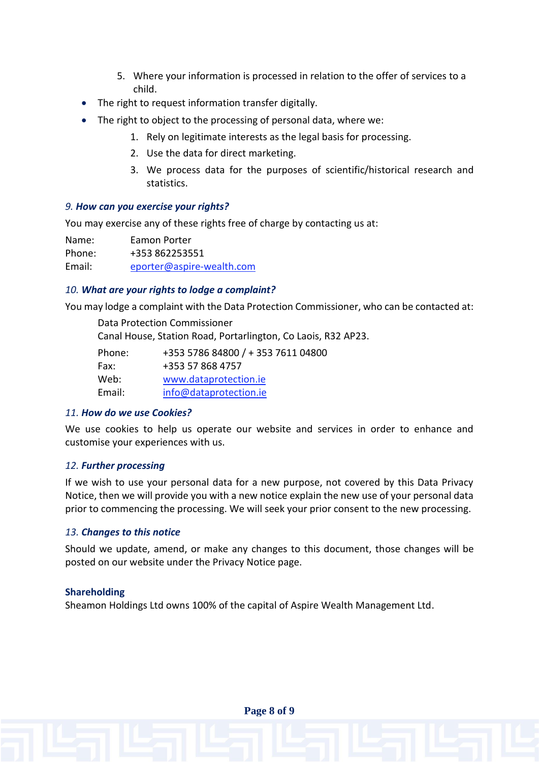- 5. Where your information is processed in relation to the offer of services to a child.
- The right to request information transfer digitally.
- The right to object to the processing of personal data, where we:
	- 1. Rely on legitimate interests as the legal basis for processing.
	- 2. Use the data for direct marketing.
	- 3. We process data for the purposes of scientific/historical research and statistics.

# *9. How can you exercise your rights?*

You may exercise any of these rights free of charge by contacting us at:

Name: Eamon Porter Phone: +353 862253551 Email: [eporter@aspire-wealth.com](mailto:eporter@aspire-wealth.com)

# *10. What are your rights to lodge a complaint?*

You may lodge a complaint with the Data Protection Commissioner, who can be contacted at:

Data Protection Commissioner Canal House, Station Road, Portarlington, Co Laois, R32 AP23. Phone: +353 5786 84800 / + 353 7611 04800 Fax: +353 57 868 4757 Web: [www.dataprotection.ie](http://www.dataprotection.ie/) Email: [info@dataprotection.ie](mailto:info@dataprotection.ie)

# *11. How do we use Cookies?*

We use cookies to help us operate our website and services in order to enhance and customise your experiences with us.

# *12. Further processing*

If we wish to use your personal data for a new purpose, not covered by this Data Privacy Notice, then we will provide you with a new notice explain the new use of your personal data prior to commencing the processing. We will seek your prior consent to the new processing.

# *13. Changes to this notice*

Should we update, amend, or make any changes to this document, those changes will be posted on our website under the Privacy Notice page.

# **Shareholding**

Sheamon Holdings Ltd owns 100% of the capital of Aspire Wealth Management Ltd.

**Page 8 of 9**